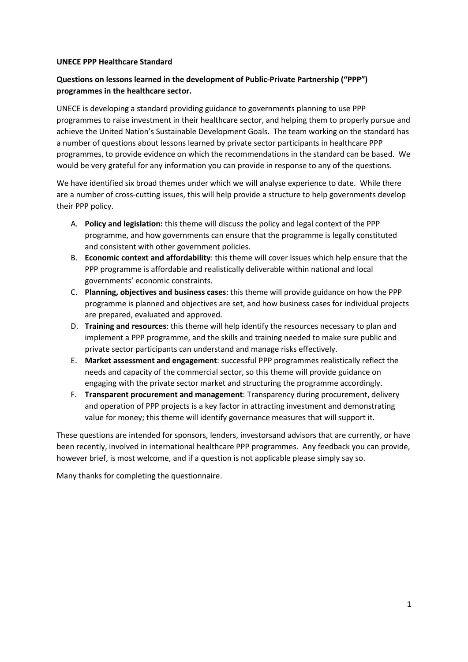#### **UNECE PPP Healthcare Standard**

#### **Questions on lessons learned in the development of Public-Private Partnership ("PPP") programmes in the healthcare sector.**

UNECE is developing a standard providing guidance to governments planning to use PPP programmes to raise investment in their healthcare sector, and helping them to properly pursue and achieve the United Nation's Sustainable Development Goals. The team working on the standard has a number of questions about lessons learned by private sector participants in healthcare PPP programmes, to provide evidence on which the recommendations in the standard can be based. We would be very grateful for any information you can provide in response to any of the questions.

We have identified six broad themes under which we will analyse experience to date. While there are a number of cross-cutting issues, this will help provide a structure to help governments develop their PPP policy.

- A. **Policy and legislation:** this theme will discuss the policy and legal context of the PPP programme, and how governments can ensure that the programme is legally constituted and consistent with other government policies.
- B. **Economic context and affordability**: this theme will cover issues which help ensure that the PPP programme is affordable and realistically deliverable within national and local governments' economic constraints.
- C. **Planning, objectives and business cases**: this theme will provide guidance on how the PPP programme is planned and objectives are set, and how business cases for individual projects are prepared, evaluated and approved.
- D. **Training and resources**: this theme will help identify the resources necessary to plan and implement a PPP programme, and the skills and training needed to make sure public and private sector participants can understand and manage risks effectively.
- E. **Market assessment and engagement**: successful PPP programmes realistically reflect the needs and capacity of the commercial sector, so this theme will provide guidance on engaging with the private sector market and structuring the programme accordingly.
- F. **Transparent procurement and management**: Transparency during procurement, delivery and operation of PPP projects is a key factor in attracting investment and demonstrating value for money; this theme will identify governance measures that will support it.

These questions are intended for sponsors, lenders, investorsand advisors that are currently, or have been recently, involved in international healthcare PPP programmes. Any feedback you can provide, however brief, is most welcome, and if a question is not applicable please simply say so.

Many thanks for completing the questionnaire.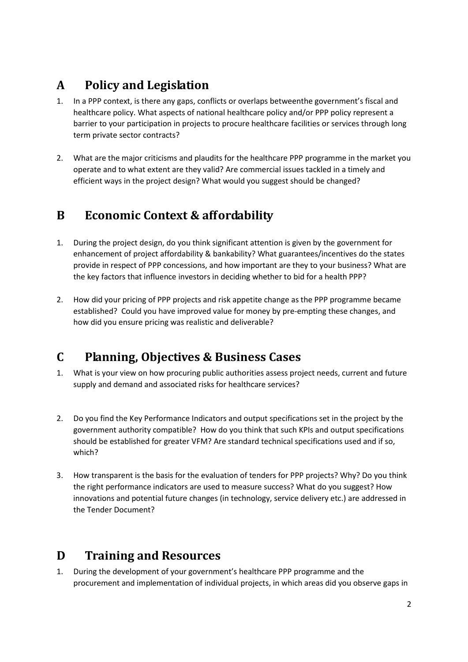# **A Policy and Legislation**

- 1. In a PPP context, is there any gaps, conflicts or overlaps betweenthe government's fiscal and healthcare policy. What aspects of national healthcare policy and/or PPP policy represent a barrier to your participation in projects to procure healthcare facilities or services through long term private sector contracts?
- 2. What are the major criticisms and plaudits for the healthcare PPP programme in the market you operate and to what extent are they valid? Are commercial issues tackled in a timely and efficient ways in the project design? What would you suggest should be changed?

## **B Economic Context & affordability**

- 1. During the project design, do you think significant attention is given by the government for enhancement of project affordability & bankability? What guarantees/incentives do the states provide in respect of PPP concessions, and how important are they to your business? What are the key factors that influence investors in deciding whether to bid for a health PPP?
- 2. How did your pricing of PPP projects and risk appetite change as the PPP programme became established? Could you have improved value for money by pre-empting these changes, and how did you ensure pricing was realistic and deliverable?

# **C Planning, Objectives & Business Cases**

- 1. What is your view on how procuring public authorities assess project needs, current and future supply and demand and associated risks for healthcare services?
- 2. Do you find the Key Performance Indicators and output specifications set in the project by the government authority compatible? How do you think that such KPIs and output specifications should be established for greater VFM? Are standard technical specifications used and if so, which?
- 3. How transparent is the basis for the evaluation of tenders for PPP projects? Why? Do you think the right performance indicators are used to measure success? What do you suggest? How innovations and potential future changes (in technology, service delivery etc.) are addressed in the Tender Document?

# **D Training and Resources**

1. During the development of your government's healthcare PPP programme and the procurement and implementation of individual projects, in which areas did you observe gaps in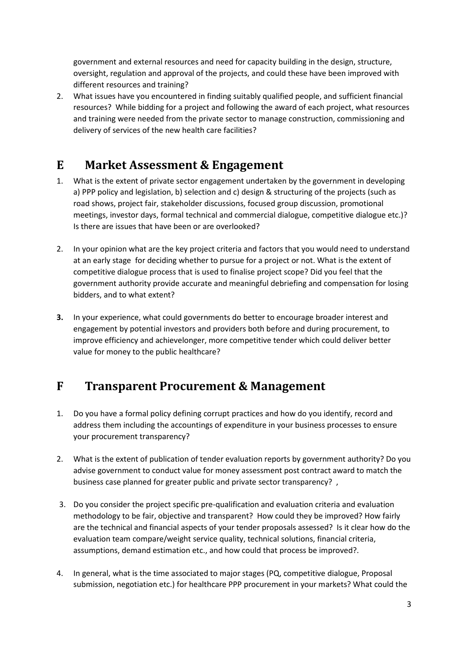government and external resources and need for capacity building in the design, structure, oversight, regulation and approval of the projects, and could these have been improved with different resources and training?

2. What issues have you encountered in finding suitably qualified people, and sufficient financial resources? While bidding for a project and following the award of each project, what resources and training were needed from the private sector to manage construction, commissioning and delivery of services of the new health care facilities?

## **E Market Assessment & Engagement**

- 1. What is the extent of private sector engagement undertaken by the government in developing a) PPP policy and legislation, b) selection and c) design & structuring of the projects (such as road shows, project fair, stakeholder discussions, focused group discussion, promotional meetings, investor days, formal technical and commercial dialogue, competitive dialogue etc.)? Is there are issues that have been or are overlooked?
- 2. In your opinion what are the key project criteria and factors that you would need to understand at an early stage for deciding whether to pursue for a project or not. What is the extent of competitive dialogue process that is used to finalise project scope? Did you feel that the government authority provide accurate and meaningful debriefing and compensation for losing bidders, and to what extent?
- **3.** In your experience, what could governments do better to encourage broader interest and engagement by potential investors and providers both before and during procurement, to improve efficiency and achievelonger, more competitive tender which could deliver better value for money to the public healthcare?

## **F Transparent Procurement & Management**

- 1. Do you have a formal policy defining corrupt practices and how do you identify, record and address them including the accountings of expenditure in your business processes to ensure your procurement transparency?
- 2. What is the extent of publication of tender evaluation reports by government authority? Do you advise government to conduct value for money assessment post contract award to match the business case planned for greater public and private sector transparency? ,
- 3. Do you consider the project specific pre-qualification and evaluation criteria and evaluation methodology to be fair, objective and transparent? How could they be improved? How fairly are the technical and financial aspects of your tender proposals assessed? Is it clear how do the evaluation team compare/weight service quality, technical solutions, financial criteria, assumptions, demand estimation etc., and how could that process be improved?.
- 4. In general, what is the time associated to major stages (PQ, competitive dialogue, Proposal submission, negotiation etc.) for healthcare PPP procurement in your markets? What could the